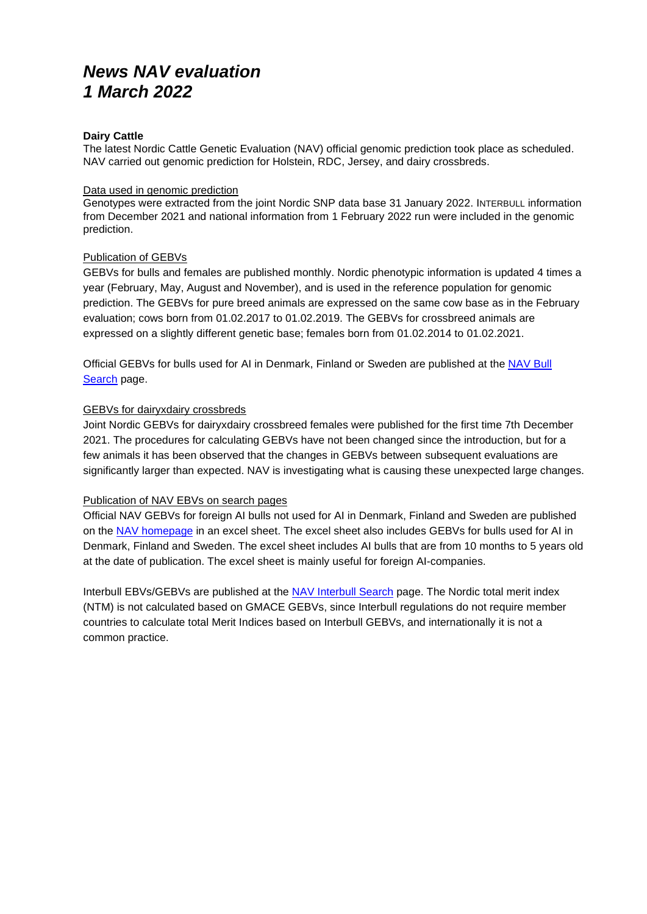# *News NAV evaluation 1 March 2022*

#### **Dairy Cattle**

The latest Nordic Cattle Genetic Evaluation (NAV) official genomic prediction took place as scheduled. NAV carried out genomic prediction for Holstein, RDC, Jersey, and dairy crossbreds.

#### Data used in genomic prediction

Genotypes were extracted from the joint Nordic SNP data base 31 January 2022. INTERBULL information from December 2021 and national information from 1 February 2022 run were included in the genomic prediction.

#### Publication of GEBVs

GEBVs for bulls and females are published monthly. Nordic phenotypic information is updated 4 times a year (February, May, August and November), and is used in the reference population for genomic prediction. The GEBVs for pure breed animals are expressed on the same cow base as in the February evaluation; cows born from 01.02.2017 to 01.02.2019. The GEBVs for crossbreed animals are expressed on a slightly different genetic base; females born from 01.02.2014 to 01.02.2021.

Official GEBVs for bulls used for AI in Denmark, Finland or Sweden are published at the [NAV Bull](https://nordic.mloy.fi/navbull)  [Search](https://nordic.mloy.fi/navbull) page.

#### GEBVs for dairyxdairy crossbreds

Joint Nordic GEBVs for dairyxdairy crossbreed females were published for the first time 7th December 2021. The procedures for calculating GEBVs have not been changed since the introduction, but for a few animals it has been observed that the changes in GEBVs between subsequent evaluations are significantly larger than expected. NAV is investigating what is causing these unexpected large changes.

## Publication of NAV EBVs on search pages

Official NAV GEBVs for foreign AI bulls not used for AI in Denmark, Finland and Sweden are published on the [NAV homepage](http://www.nordicebv.info/genomic-evaluation/) in an excel sheet. The excel sheet also includes GEBVs for bulls used for AI in Denmark, Finland and Sweden. The excel sheet includes AI bulls that are from 10 months to 5 years old at the date of publication. The excel sheet is mainly useful for foreign AI-companies.

Interbull EBVs/GEBVs are published at the [NAV Interbull Search](https://nordic.mloy.fi/InterBull) page. The Nordic total merit index (NTM) is not calculated based on GMACE GEBVs, since Interbull regulations do not require member countries to calculate total Merit Indices based on Interbull GEBVs, and internationally it is not a common practice.